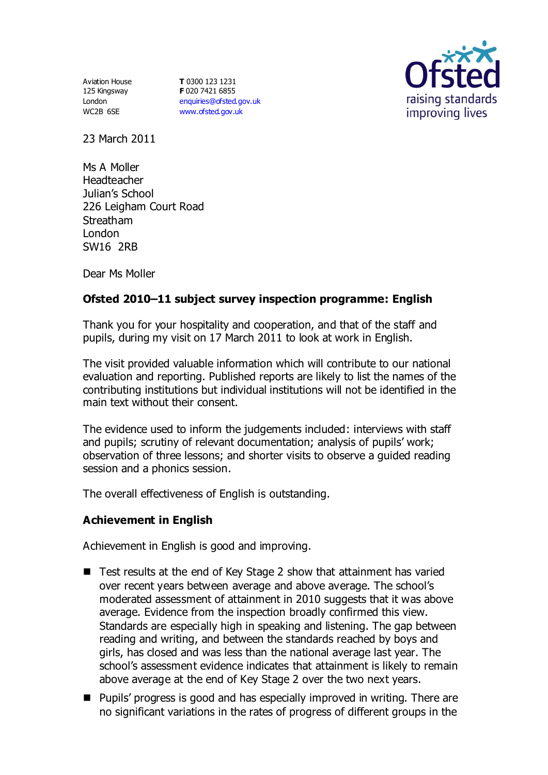Aviation House 125 Kingsway London WC2B 6SE

**T** 0300 123 1231 **F** 020 7421 6855 [enquiries@ofsted.gov.uk](mailto:enquiries@ofsted.gov.uk) [www.ofsted.gov.uk](http://www.ofsted.gov.uk/)



23 March 2011

Ms A Moller Headteacher Julian's School 226 Leigham Court Road Streatham London SW16 2RB

Dear Ms Moller

# **Ofsted 2010–11 subject survey inspection programme: English**

Thank you for your hospitality and cooperation, and that of the staff and pupils, during my visit on 17 March 2011 to look at work in English.

The visit provided valuable information which will contribute to our national evaluation and reporting. Published reports are likely to list the names of the contributing institutions but individual institutions will not be identified in the main text without their consent.

The evidence used to inform the judgements included: interviews with staff and pupils; scrutiny of relevant documentation; analysis of pupils' work; observation of three lessons; and shorter visits to observe a guided reading session and a phonics session.

The overall effectiveness of English is outstanding.

## **Achievement in English**

Achievement in English is good and improving.

- Test results at the end of Key Stage 2 show that attainment has varied over recent years between average and above average. The school's moderated assessment of attainment in 2010 suggests that it was above average. Evidence from the inspection broadly confirmed this view. Standards are especially high in speaking and listening. The gap between reading and writing, and between the standards reached by boys and girls, has closed and was less than the national average last year. The school's assessment evidence indicates that attainment is likely to remain above average at the end of Key Stage 2 over the two next years.
- Pupils' progress is good and has especially improved in writing. There are no significant variations in the rates of progress of different groups in the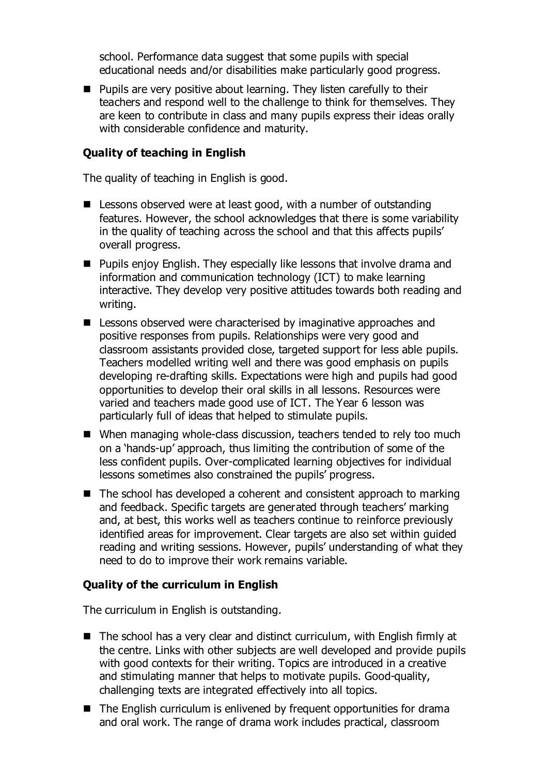school. Performance data suggest that some pupils with special educational needs and/or disabilities make particularly good progress.

 $\blacksquare$  Pupils are very positive about learning. They listen carefully to their teachers and respond well to the challenge to think for themselves. They are keen to contribute in class and many pupils express their ideas orally with considerable confidence and maturity.

### **Quality of teaching in English**

The quality of teaching in English is good.

- Lessons observed were at least good, with a number of outstanding features. However, the school acknowledges that there is some variability in the quality of teaching across the school and that this affects pupils' overall progress.
- **Pupils enjoy English. They especially like lessons that involve drama and** information and communication technology (ICT) to make learning interactive. They develop very positive attitudes towards both reading and writing.
- Lessons observed were characterised by imaginative approaches and positive responses from pupils. Relationships were very good and classroom assistants provided close, targeted support for less able pupils. Teachers modelled writing well and there was good emphasis on pupils developing re-drafting skills. Expectations were high and pupils had good opportunities to develop their oral skills in all lessons. Resources were varied and teachers made good use of ICT. The Year 6 lesson was particularly full of ideas that helped to stimulate pupils.
- When managing whole-class discussion, teachers tended to rely too much on a 'hands-up' approach, thus limiting the contribution of some of the less confident pupils. Over-complicated learning objectives for individual lessons sometimes also constrained the pupils' progress.
- $\blacksquare$  The school has developed a coherent and consistent approach to marking and feedback. Specific targets are generated through teachers' marking and, at best, this works well as teachers continue to reinforce previously identified areas for improvement. Clear targets are also set within guided reading and writing sessions. However, pupils' understanding of what they need to do to improve their work remains variable.

#### **Quality of the curriculum in English**

The curriculum in English is outstanding.

- The school has a very clear and distinct curriculum, with English firmly at the centre. Links with other subjects are well developed and provide pupils with good contexts for their writing. Topics are introduced in a creative and stimulating manner that helps to motivate pupils. Good-quality, challenging texts are integrated effectively into all topics.
- The English curriculum is enlivened by frequent opportunities for drama and oral work. The range of drama work includes practical, classroom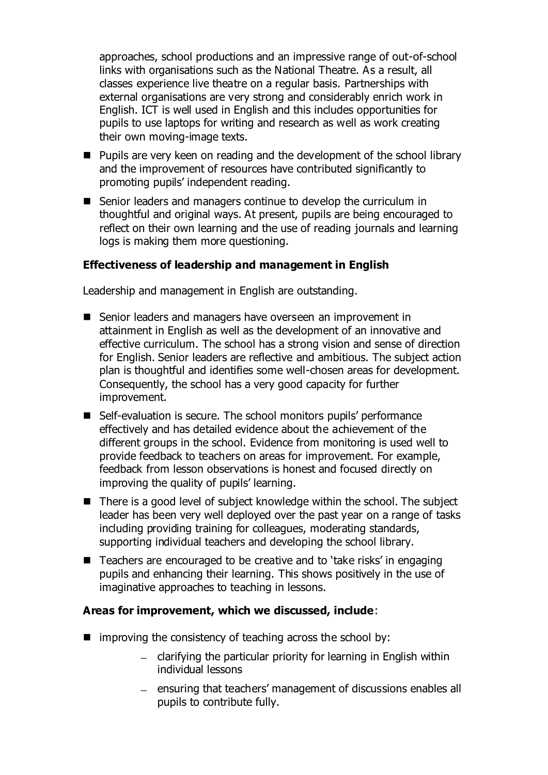approaches, school productions and an impressive range of out-of-school links with organisations such as the National Theatre. As a result, all classes experience live theatre on a regular basis. Partnerships with external organisations are very strong and considerably enrich work in English. ICT is well used in English and this includes opportunities for pupils to use laptops for writing and research as well as work creating their own moving-image texts.

- **Pupils are very keen on reading and the development of the school library** and the improvement of resources have contributed significantly to promoting pupils' independent reading.
- Senior leaders and managers continue to develop the curriculum in thoughtful and original ways. At present, pupils are being encouraged to reflect on their own learning and the use of reading journals and learning logs is making them more questioning.

## **Effectiveness of leadership and management in English**

Leadership and management in English are outstanding.

- Senior leaders and managers have overseen an improvement in attainment in English as well as the development of an innovative and effective curriculum. The school has a strong vision and sense of direction for English. Senior leaders are reflective and ambitious. The subject action plan is thoughtful and identifies some well-chosen areas for development. Consequently, the school has a very good capacity for further improvement.
- Self-evaluation is secure. The school monitors pupils' performance effectively and has detailed evidence about the achievement of the different groups in the school. Evidence from monitoring is used well to provide feedback to teachers on areas for improvement. For example, feedback from lesson observations is honest and focused directly on improving the quality of pupils' learning.
- $\blacksquare$  There is a good level of subject knowledge within the school. The subject leader has been very well deployed over the past year on a range of tasks including providing training for colleagues, moderating standards, supporting individual teachers and developing the school library.
- Teachers are encouraged to be creative and to 'take risks' in engaging pupils and enhancing their learning. This shows positively in the use of imaginative approaches to teaching in lessons.

## **Areas for improvement, which we discussed, include**:

- $\blacksquare$  improving the consistency of teaching across the school by:
	- $-$  clarifying the particular priority for learning in English within individual lessons
	- ensuring that teachers' management of discussions enables all pupils to contribute fully.